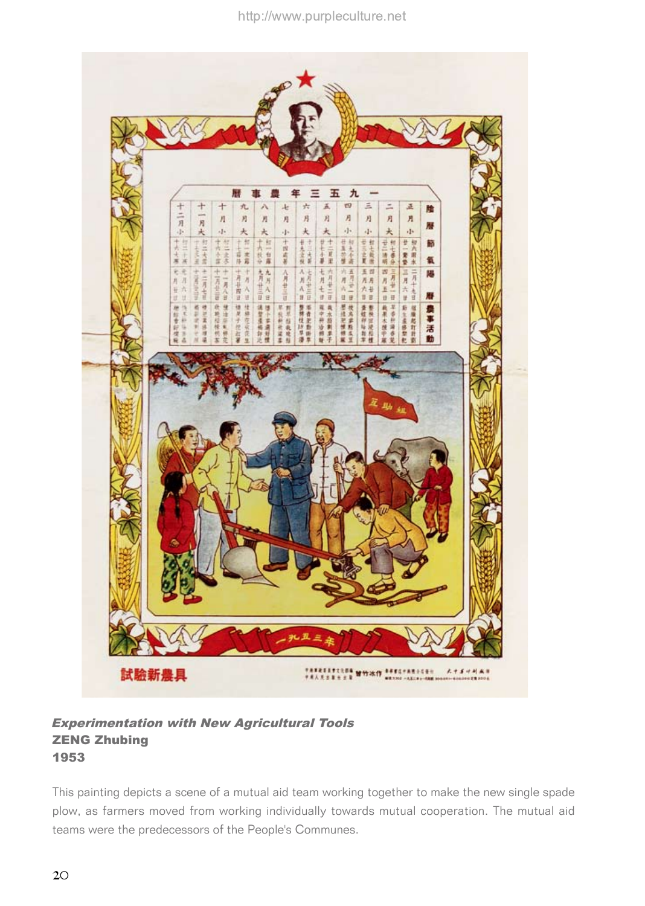

Experimentation with New Agricultural Tools ZENG Zhubing 1953

This painting depicts a scene of a mutual aid team working together to make the new single spade plow, as farmers moved from working individually towards mutual cooperation. The mutual aid teams were the predecessors of the People's Communes.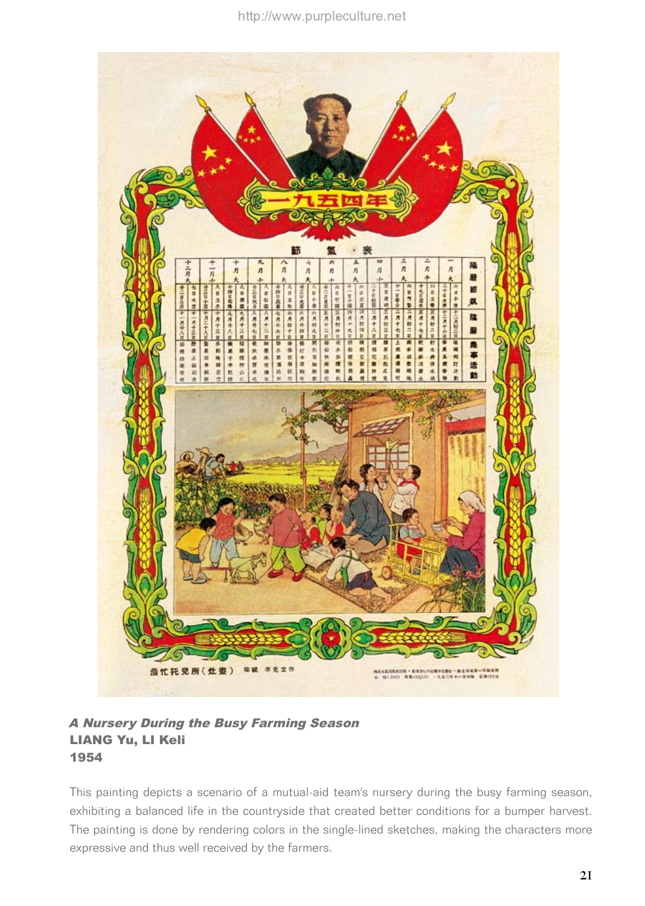

## A Nursery During the Busy Farming Season LIANG Yu, LI Keli 1954

This painting depicts a scenario of a mutual-aid team's nursery during the busy farming season, exhibiting a balanced life in the countryside that created better conditions for a bumper harvest. The painting is done by rendering colors in the single-lined sketches, making the characters more expressive and thus well received by the farmers.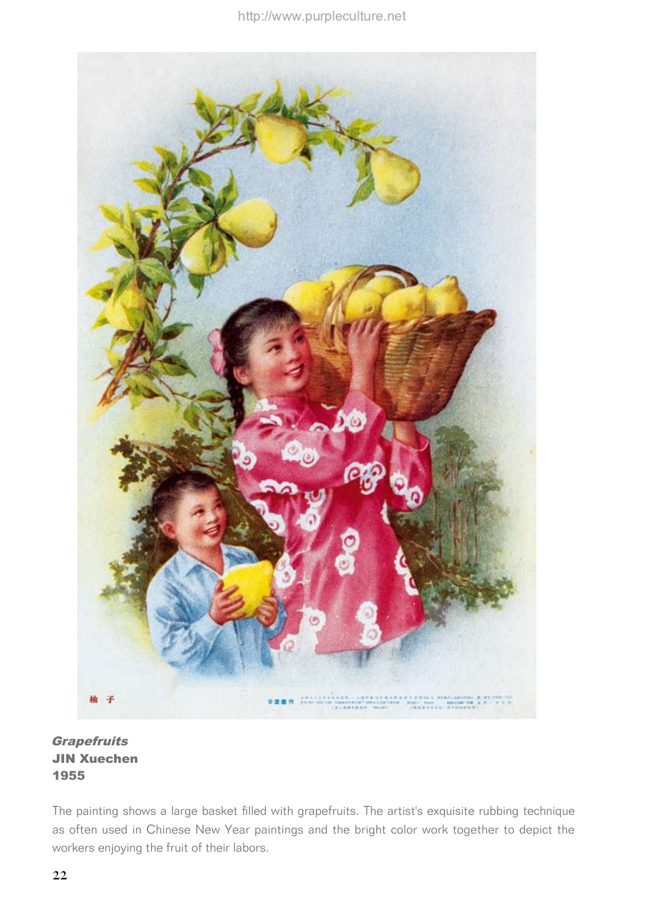

**Grapefruits** JIN Xuechen 1955

The painting shows a large basket filled with grapefruits. The artist's exquisite rubbing technique as often used in Chinese New Year paintings and the bright color work together to depict the workers enjoying the fruit of their labors.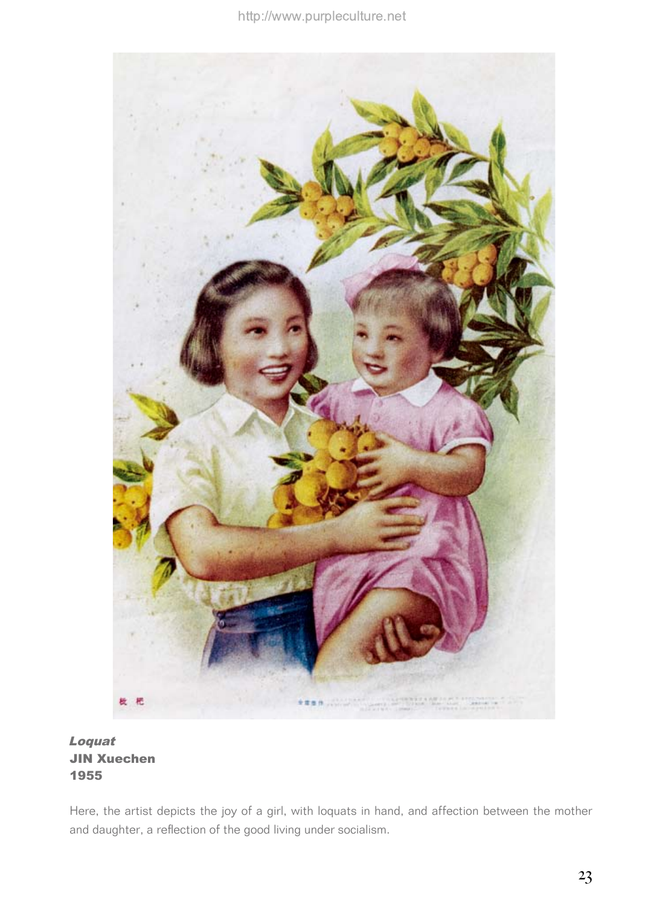

Loquat JIN Xuechen 1955

Here, the artist depicts the joy of a girl, with loquats in hand, and affection between the mother and daughter, a reflection of the good living under socialism.